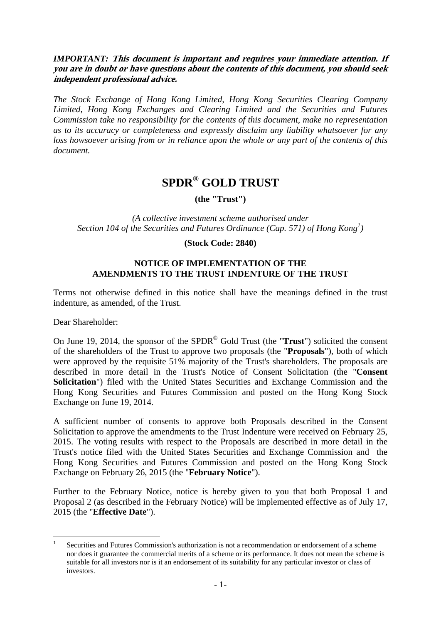## *IMPORTANT:* **This document is important and requires your immediate attention. If you are in doubt or have questions about the contents of this document, you should seek independent professional advice.**

*The Stock Exchange of Hong Kong Limited, Hong Kong Securities Clearing Company Limited, Hong Kong Exchanges and Clearing Limited and the Securities and Futures Commission take no responsibility for the contents of this document, make no representation as to its accuracy or completeness and expressly disclaim any liability whatsoever for any loss howsoever arising from or in reliance upon the whole or any part of the contents of this document.* 

# **SPDR® GOLD TRUST**

**(the "Trust")** 

*(A collective investment scheme authorised under*  Section 104 of the Securities and Futures Ordinance (Cap. 571) of Hong Kong<sup>1</sup>)

#### **(Stock Code: 2840)**

## **NOTICE OF IMPLEMENTATION OF THE AMENDMENTS TO THE TRUST INDENTURE OF THE TRUST**

Terms not otherwise defined in this notice shall have the meanings defined in the trust indenture, as amended, of the Trust.

Dear Shareholder:

On June 19, 2014, the sponsor of the SPDR® Gold Trust (the "**Trust**") solicited the consent of the shareholders of the Trust to approve two proposals (the "**Proposals**"), both of which were approved by the requisite 51% majority of the Trust's shareholders. The proposals are described in more detail in the Trust's Notice of Consent Solicitation (the "**Consent Solicitation**") filed with the United States Securities and Exchange Commission and the Hong Kong Securities and Futures Commission and posted on the Hong Kong Stock Exchange on June 19, 2014.

A sufficient number of consents to approve both Proposals described in the Consent Solicitation to approve the amendments to the Trust Indenture were received on February 25, 2015. The voting results with respect to the Proposals are described in more detail in the Trust's notice filed with the United States Securities and Exchange Commission and the Hong Kong Securities and Futures Commission and posted on the Hong Kong Stock Exchange on February 26, 2015 (the "**February Notice**").

Further to the February Notice, notice is hereby given to you that both Proposal 1 and Proposal 2 (as described in the February Notice) will be implemented effective as of July 17, 2015 (the "**Effective Date**").

 $\frac{1}{1}$  Securities and Futures Commission's authorization is not a recommendation or endorsement of a scheme nor does it guarantee the commercial merits of a scheme or its performance. It does not mean the scheme is suitable for all investors nor is it an endorsement of its suitability for any particular investor or class of investors.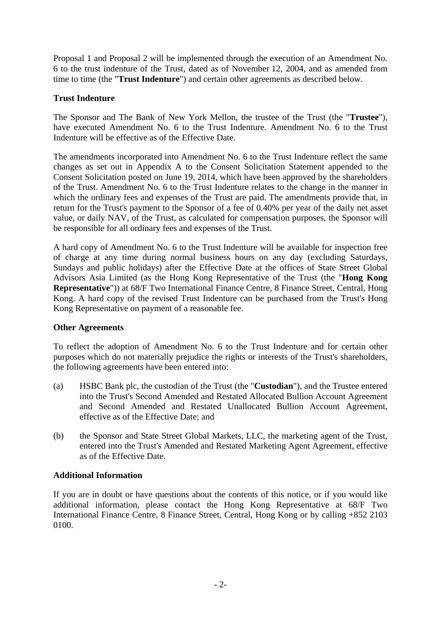Proposal 1 and Proposal 2 will be implemented through the execution of an Amendment No. 6 to the trust indenture of the Trust, dated as of November 12, 2004, and as amended from time to time (the "**Trust Indenture**") and certain other agreements as described below.

## **Trust Indenture**

The Sponsor and The Bank of New York Mellon, the trustee of the Trust (the "**Trustee**"), have executed Amendment No. 6 to the Trust Indenture. Amendment No. 6 to the Trust Indenture will be effective as of the Effective Date.

The amendments incorporated into Amendment No. 6 to the Trust Indenture reflect the same changes as set out in Appendix A to the Consent Solicitation Statement appended to the Consent Solicitation posted on June 19, 2014, which have been approved by the shareholders of the Trust. Amendment No. 6 to the Trust Indenture relates to the change in the manner in which the ordinary fees and expenses of the Trust are paid. The amendments provide that, in return for the Trust's payment to the Sponsor of a fee of 0.40% per year of the daily net asset value, or daily NAV, of the Trust, as calculated for compensation purposes, the Sponsor will be responsible for all ordinary fees and expenses of the Trust.

A hard copy of Amendment No. 6 to the Trust Indenture will be available for inspection free of charge at any time during normal business hours on any day (excluding Saturdays, Sundays and public holidays) after the Effective Date at the offices of State Street Global Advisors Asia Limited (as the Hong Kong Representative of the Trust (the "**Hong Kong Representative**")) at 68/F Two International Finance Centre, 8 Finance Street, Central, Hong Kong. A hard copy of the revised Trust Indenture can be purchased from the Trust's Hong Kong Representative on payment of a reasonable fee.

#### **Other Agreements**

To reflect the adoption of Amendment No. 6 to the Trust Indenture and for certain other purposes which do not materially prejudice the rights or interests of the Trust's shareholders, the following agreements have been entered into:

- (a) HSBC Bank plc, the custodian of the Trust (the "**Custodian**"), and the Trustee entered into the Trust's Second Amended and Restated Allocated Bullion Account Agreement and Second Amended and Restated Unallocated Bullion Account Agreement, effective as of the Effective Date; and
- (b) the Sponsor and State Street Global Markets, LLC, the marketing agent of the Trust, entered into the Trust's Amended and Restated Marketing Agent Agreement, effective as of the Effective Date.

#### **Additional Information**

If you are in doubt or have questions about the contents of this notice, or if you would like additional information, please contact the Hong Kong Representative at 68/F Two International Finance Centre, 8 Finance Street, Central, Hong Kong or by calling +852 2103 0100.